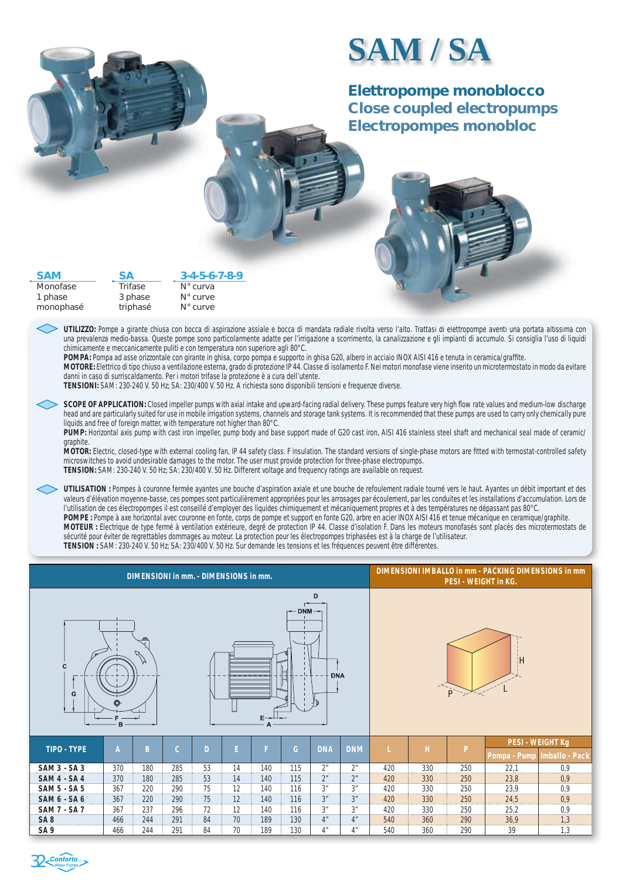## **SAM / SA**

**Elettropompe monoblocco**  *Close coupled electropumps Electropompes monobloc*

| <b>SAM</b>                       | <b>SA</b>                      | $3 - 4 - 5 - 6 - 7 - 8 - 9$                                                                                                                                                                                   |
|----------------------------------|--------------------------------|---------------------------------------------------------------------------------------------------------------------------------------------------------------------------------------------------------------|
| Monofase<br>1 phase<br>monophasé | Trifase<br>3 phase<br>triphasé | $N^{\circ}$ curva<br>$N^{\circ}$ curve<br>$N^{\circ}$ curve                                                                                                                                                   |
|                                  |                                | UTILIZZO: Pompe a girante chiusa con bocca di aspirazione assiale e bocca di mandata radiale rivolta<br>una prevalenza medio-bassa. Queste pompe sono particolarmente adatte per l'irrigazione a scorrimento, |

UTILIZZO: Pompe a girante chiusa con bocca di aspirazione assiale e bocca di mandata radiale rivolta verso l'alto. Trattasi di elettropompe aventi una portata altissima con una prevalenza medio-bassa. Queste pompe sono particolarmente adatte per l'irrigazione a scorrimento, la canalizzazione e gli impianti di accumulo. Si consiglia l'uso di liquidi chimicamente e meccanicamente puliti e con temperatura non superiore agli 80°C.

POMPA: Pompa ad asse orizzontale con girante in ghisa, corpo pompa e supporto in ghisa G20, albero in acciaio INOX AISI 416 e tenuta in ceramica/graffite.

MOTORE: Elettrico di tipo chiuso a ventilazione esterna, grado di protezione IP 44. Classe di isolamento F. Nei motori monofase viene inserito un microtermostato in modo da evitare danni in caso di surriscaldamento. Per i motori trifase la protezione è a cura dell'utente.

**TENSIONI:** SAM: 230-240 V. 50 Hz; SA: 230/400 V. 50 Hz. A richiesta sono disponibili tensioni e frequenze diverse.

SCOPE OF APPLICATION: Closed impeller pumps with axial intake and upward-facing radial delivery. These pumps feature very high flow rate values and medium-low discharge *head and are particularly suited for use in mobile irrigation systems, channels and storage tank systems. It is recommended that these pumps are used to carry only chemically pure liquids and free of foreign matter, with temperature not higher than 80°C.* 

*PUMP: Horizontal axis pump with cast iron impeller, pump body and base support made of G20 cast iron, AISI 416 stainless steel shaft and mechanical seal made of ceramic/ graphite.* 

*MOTOR: Electric, closed-type with external cooling fan, IP 44 safety class. F insulation. The standard versions of single-phase motors are fi tted with termostat-controlled safety microswitches to avoid undesirable damages to the motor. The user must provide protection for three-phase electropumps. TENSION: SAM: 230-240 V. 50 Hz; SA: 230/400 V. 50 Hz. Different voltage and frequency ratings are available on request.* 

 *UTILISATION : Pompes à couronne fermée ayantes une bouche d'aspiration axiale et une bouche de refoulement radiale tourné vers le haut. Ayantes un débit important et des valeurs d'élévation moyenne-basse, ces pompes sont particulièrement appropriées pour les arrosages par écoulement, par les conduites et les installations d'accumulation. Lors de l'utilisation de ces électropompes il est conseillé d'employer des liquides chimiquement et mécaniquement propres et à des températures ne dépassant pas 80°C. POMPE : Pompe à axe horizontal avec couronne en fonte, corps de pompe et support en fonte G20, arbre en acier INOX AISI 416 et tenue mécanique en ceramique/graphite. MOTEUR : Electrique de type fermé à ventilation extérieure, degré de protection IP 44. Classe d'isolation F. Dans les moteurs monofasés sont placés des microtermostats de sécurité pour éviter de regrettables dommages au moteur. La protection pour les électropompes triphasées est à la charge de l'utilisateur. TENSION : SAM: 230-240 V. 50 Hz; SA: 230/400 V. 50 Hz. Sur demande les tensions et les fréquences peuvent être différentes.*

| <b>DIMENSIONI in mm. - DIMENSIONS in mm.</b>                      |                                                            |     |     |    |    |     |     |                |                |     | DIMENSIONI IMBALLO in mm - PACKING DIMENSIONS in mm<br><b>PESI - WEIGHT in KG.</b> |              |                                           |     |  |  |  |
|-------------------------------------------------------------------|------------------------------------------------------------|-----|-----|----|----|-----|-----|----------------|----------------|-----|------------------------------------------------------------------------------------|--------------|-------------------------------------------|-----|--|--|--|
| D<br>$\rightarrow$ DNM $\rightarrow$<br>N<br>C<br><b>DNA</b><br>G |                                                            |     |     |    |    |     |     |                | ÷Η<br>P        |     |                                                                                    |              |                                           |     |  |  |  |
| <b>TIPO - TYPE</b>                                                | E.<br>F<br>G<br>$\mathcal{C}$<br><b>DNA</b><br>A<br>B<br>D |     |     |    |    |     |     | <b>DNM</b>     |                | H   | P                                                                                  | Pompa - Pump | <b>PESI - WEIGHT Kg</b><br>Imballo - Pack |     |  |  |  |
| <b>SAM 3 - SA 3</b>                                               | 370                                                        | 180 | 285 | 53 | 14 | 140 | 115 | 2 <sup>n</sup> | 2 <sup>n</sup> | 420 | 330                                                                                | 250          | 22,1                                      | 0,9 |  |  |  |
| <b>SAM 4 - SA 4</b>                                               | 370                                                        | 180 | 285 | 53 | 14 | 140 | 115 | 2 <sup>n</sup> | 2 <sup>n</sup> | 420 | 330                                                                                | 250          | 23,8                                      | 0.9 |  |  |  |
| <b>SAM 5 - SA 5</b>                                               | 367                                                        | 220 | 290 | 75 | 12 | 140 | 116 | 3 <sup>n</sup> | 3 <sup>n</sup> | 420 | 330                                                                                | 250          | 23,9                                      | 0,9 |  |  |  |
| <b>SAM 6 - SA 6</b>                                               | 367                                                        | 220 | 290 | 75 | 12 | 140 | 116 | 3 <sup>n</sup> | 3"             | 420 | 330                                                                                | 250          | 24,5                                      | 0,9 |  |  |  |
| <b>SAM 7 - SA 7</b>                                               | 367                                                        | 237 | 296 | 72 | 12 | 140 | 116 | 3 <sup>n</sup> | 3 <sup>n</sup> | 420 | 330                                                                                | 250          | 25,2                                      | 0,9 |  |  |  |
| SA <sub>8</sub>                                                   | 466                                                        | 244 | 291 | 84 | 70 | 189 | 130 | 4"             | 4 <sup>n</sup> | 540 | 360                                                                                | 290          | 36,9                                      | 1,3 |  |  |  |
| SA <sub>9</sub>                                                   | 466                                                        | 244 | 291 | 84 | 70 | 189 | 130 | 4"             | 4"             | 540 | 360                                                                                | 290          | 39                                        | 1,3 |  |  |  |